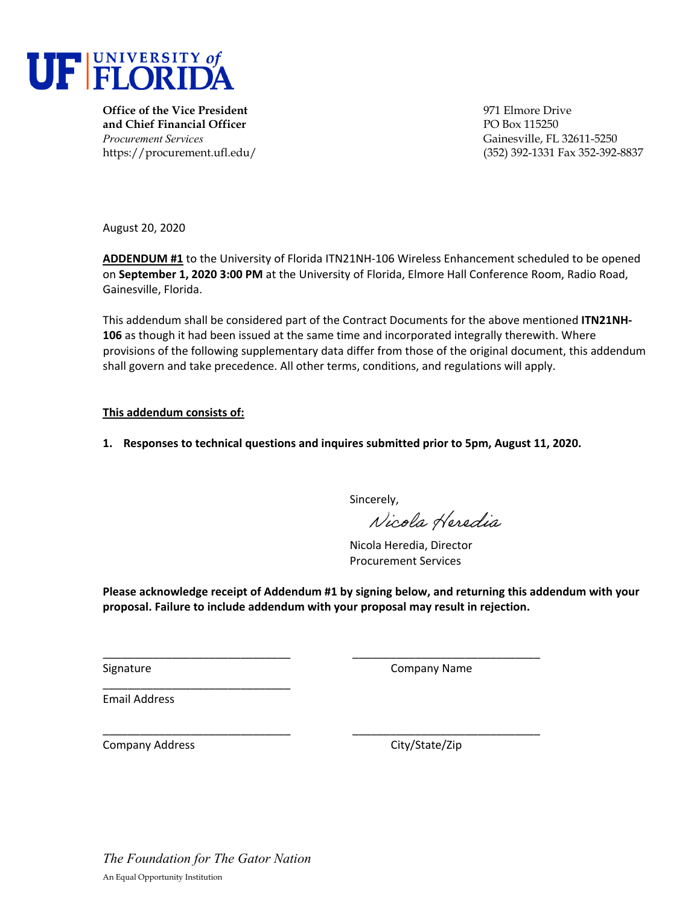

**Office of the Vice President** 971 Elmore Drive **and Chief Financial Officer PO Box 115250** *Procurement Services* Gainesville, FL 32611-5250

https://procurement.ufl.edu/ (352) 392-1331 Fax 352-392-8837

August 20, 2020

**ADDENDUM #1** to the University of Florida ITN21NH‐106 Wireless Enhancement scheduled to be opened on **September 1, 2020 3:00 PM** at the University of Florida, Elmore Hall Conference Room, Radio Road, Gainesville, Florida.

This addendum shall be considered part of the Contract Documents for the above mentioned **ITN21NH‐ 106** as though it had been issued at the same time and incorporated integrally therewith. Where provisions of the following supplementary data differ from those of the original document, this addendum shall govern and take precedence. All other terms, conditions, and regulations will apply.

#### **This addendum consists of:**

**1. Responses to technical questions and inquires submitted prior to 5pm, August 11, 2020.** 

Sincerely,

Nicola Heredia

Nicola Heredia, Director Procurement Services

**Please acknowledge receipt of Addendum #1 by signing below, and returning this addendum with your proposal. Failure to include addendum with your proposal may result in rejection.**

\_\_\_\_\_\_\_\_\_\_\_\_\_\_\_\_\_\_\_\_\_\_\_\_\_\_\_\_\_\_ \_\_\_\_\_\_\_\_\_\_\_\_\_\_\_\_\_\_\_\_\_\_\_\_\_\_\_\_\_\_

\_\_\_\_\_\_\_\_\_\_\_\_\_\_\_\_\_\_\_\_\_\_\_\_\_\_\_\_\_\_ \_\_\_\_\_\_\_\_\_\_\_\_\_\_\_\_\_\_\_\_\_\_\_\_\_\_\_\_\_\_

Signature **Company Name** 

Email Address

Company Address City/State/Zip

*The Foundation for The Gator Nation*  An Equal Opportunity Institution

\_\_\_\_\_\_\_\_\_\_\_\_\_\_\_\_\_\_\_\_\_\_\_\_\_\_\_\_\_\_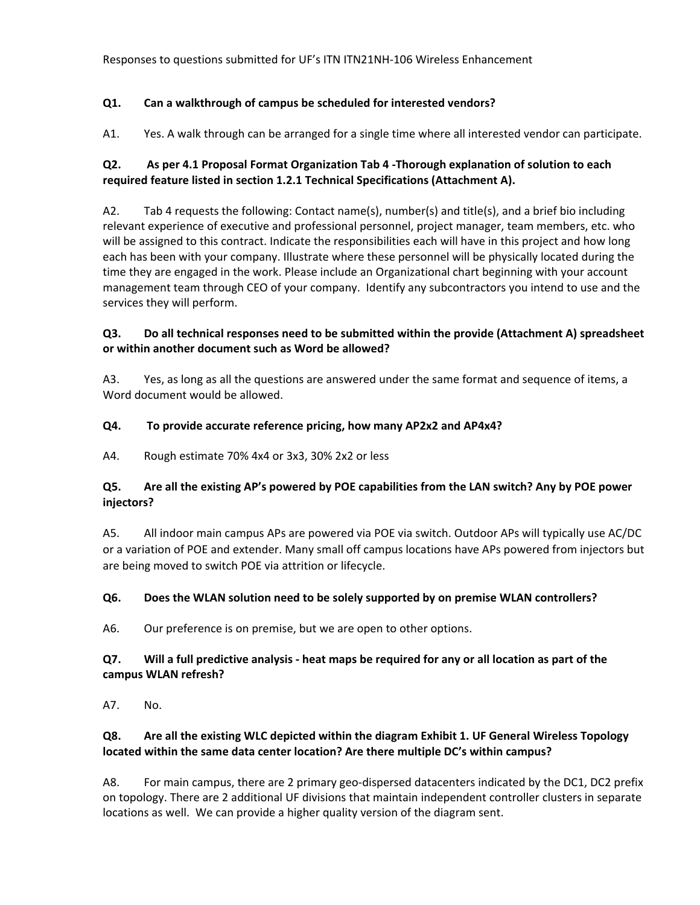# **Q1. Can a walkthrough of campus be scheduled for interested vendors?**

A1. Yes. A walk through can be arranged for a single time where all interested vendor can participate.

# **Q2. As per 4.1 Proposal Format Organization Tab 4 ‐Thorough explanation of solution to each required feature listed in section 1.2.1 Technical Specifications (Attachment A).**

A2. Tab 4 requests the following: Contact name(s), number(s) and title(s), and a brief bio including relevant experience of executive and professional personnel, project manager, team members, etc. who will be assigned to this contract. Indicate the responsibilities each will have in this project and how long each has been with your company. Illustrate where these personnel will be physically located during the time they are engaged in the work. Please include an Organizational chart beginning with your account management team through CEO of your company. Identify any subcontractors you intend to use and the services they will perform.

# **Q3. Do all technical responses need to be submitted within the provide (Attachment A) spreadsheet or within another document such as Word be allowed?**

A3. Yes, as long as all the questions are answered under the same format and sequence of items, a Word document would be allowed.

# **Q4. To provide accurate reference pricing, how many AP2x2 and AP4x4?**

A4. Rough estimate 70% 4x4 or 3x3, 30% 2x2 or less

# **Q5. Are all the existing AP's powered by POE capabilities from the LAN switch? Any by POE power injectors?**

A5. All indoor main campus APs are powered via POE via switch. Outdoor APs will typically use AC/DC or a variation of POE and extender. Many small off campus locations have APs powered from injectors but are being moved to switch POE via attrition or lifecycle.

# **Q6. Does the WLAN solution need to be solely supported by on premise WLAN controllers?**

A6. Our preference is on premise, but we are open to other options.

# Q7. Will a full predictive analysis - heat maps be required for any or all location as part of the **campus WLAN refresh?**

A7. No.

# **Q8. Are all the existing WLC depicted within the diagram Exhibit 1. UF General Wireless Topology located within the same data center location? Are there multiple DC's within campus?**

A8. For main campus, there are 2 primary geo‐dispersed datacenters indicated by the DC1, DC2 prefix on topology. There are 2 additional UF divisions that maintain independent controller clusters in separate locations as well. We can provide a higher quality version of the diagram sent.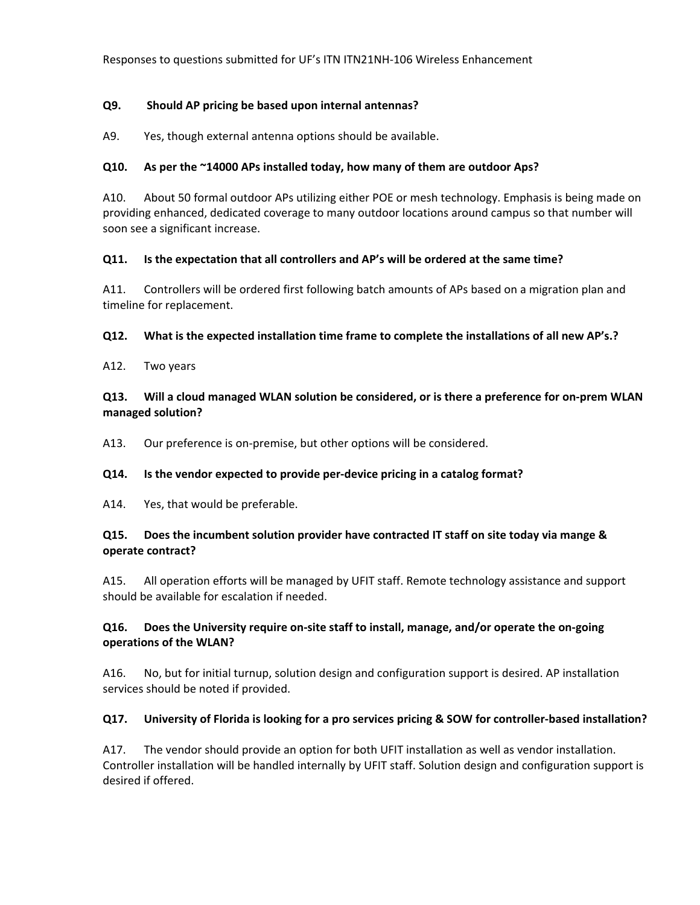### **Q9. Should AP pricing be based upon internal antennas?**

A9. Yes, though external antenna options should be available.

### **Q10. As per the ~14000 APs installed today, how many of them are outdoor Aps?**

A10. About 50 formal outdoor APs utilizing either POE or mesh technology. Emphasis is being made on providing enhanced, dedicated coverage to many outdoor locations around campus so that number will soon see a significant increase.

### **Q11. Is the expectation that all controllers and AP's will be ordered at the same time?**

A11. Controllers will be ordered first following batch amounts of APs based on a migration plan and timeline for replacement.

### **Q12. What is the expected installation time frame to complete the installations of all new AP's.?**

A12. Two years

### Q13. Will a cloud managed WLAN solution be considered, or is there a preference for on-prem WLAN **managed solution?**

A13. Our preference is on-premise, but other options will be considered.

# **Q14. Is the vendor expected to provide per‐device pricing in a catalog format?**

A14. Yes, that would be preferable.

# **Q15. Does the incumbent solution provider have contracted IT staff on site today via mange & operate contract?**

A15. All operation efforts will be managed by UFIT staff. Remote technology assistance and support should be available for escalation if needed.

### **Q16. Does the University require on‐site staff to install, manage, and/or operate the on‐going operations of the WLAN?**

A16. No, but for initial turnup, solution design and configuration support is desired. AP installation services should be noted if provided.

# Q17. University of Florida is looking for a pro services pricing & SOW for controller-based installation?

A17. The vendor should provide an option for both UFIT installation as well as vendor installation. Controller installation will be handled internally by UFIT staff. Solution design and configuration support is desired if offered.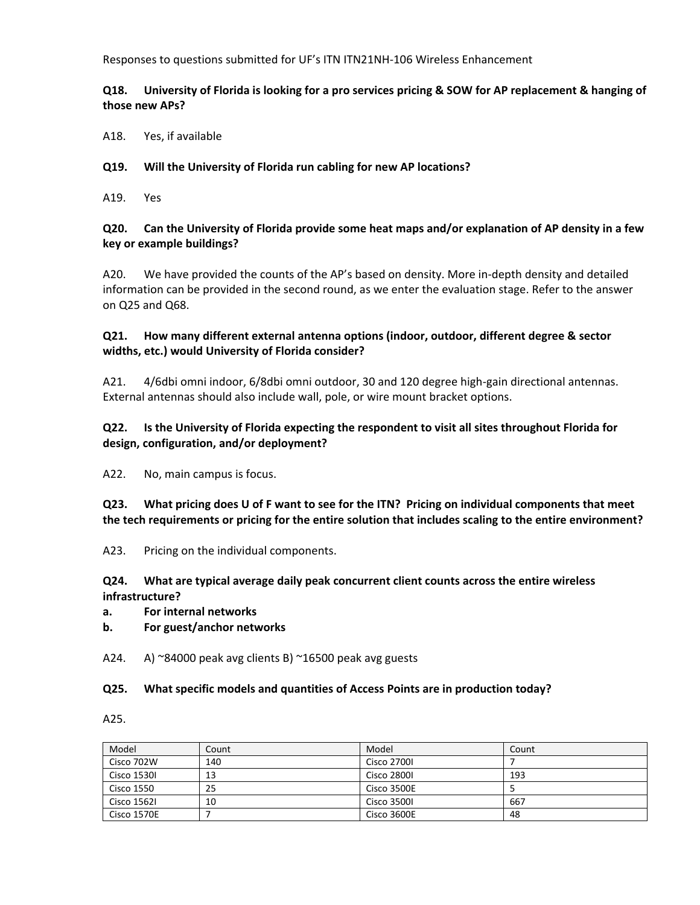### Q18. University of Florida is looking for a pro services pricing & SOW for AP replacement & hanging of **those new APs?**

A18. Yes, if available

### **Q19. Will the University of Florida run cabling for new AP locations?**

A19. Yes

### Q20. Can the University of Florida provide some heat maps and/or explanation of AP density in a few **key or example buildings?**

A20. We have provided the counts of the AP's based on density. More in‐depth density and detailed information can be provided in the second round, as we enter the evaluation stage. Refer to the answer on Q25 and Q68.

## **Q21. How many different external antenna options (indoor, outdoor, different degree & sector widths, etc.) would University of Florida consider?**

A21. 4/6dbi omni indoor, 6/8dbi omni outdoor, 30 and 120 degree high-gain directional antennas. External antennas should also include wall, pole, or wire mount bracket options.

# **Q22. Is the University of Florida expecting the respondent to visit all sites throughout Florida for design, configuration, and/or deployment?**

A22. No, main campus is focus.

Q23. What pricing does U of F want to see for the ITN? Pricing on individual components that meet **the tech requirements or pricing for the entire solution that includes scaling to the entire environment?**

A23. Pricing on the individual components.

### **Q24. What are typical average daily peak concurrent client counts across the entire wireless infrastructure?**

#### **a. For internal networks**

**b. For guest/anchor networks**

A24. A)  $\approx$ 84000 peak avg clients B)  $\approx$ 16500 peak avg guests

#### **Q25. What specific models and quantities of Access Points are in production today?**

A25.

| Model              | Count | Model              | Count |
|--------------------|-------|--------------------|-------|
| Cisco 702W         | 140   | <b>Cisco 2700I</b> |       |
| Cisco 1530I        | 13    | <b>Cisco 2800I</b> | 193   |
| Cisco 1550         | 25    | Cisco 3500E        |       |
| <b>Cisco 1562I</b> | 10    | Cisco 3500L        | 667   |
| Cisco 1570E        |       | Cisco 3600E        | 48    |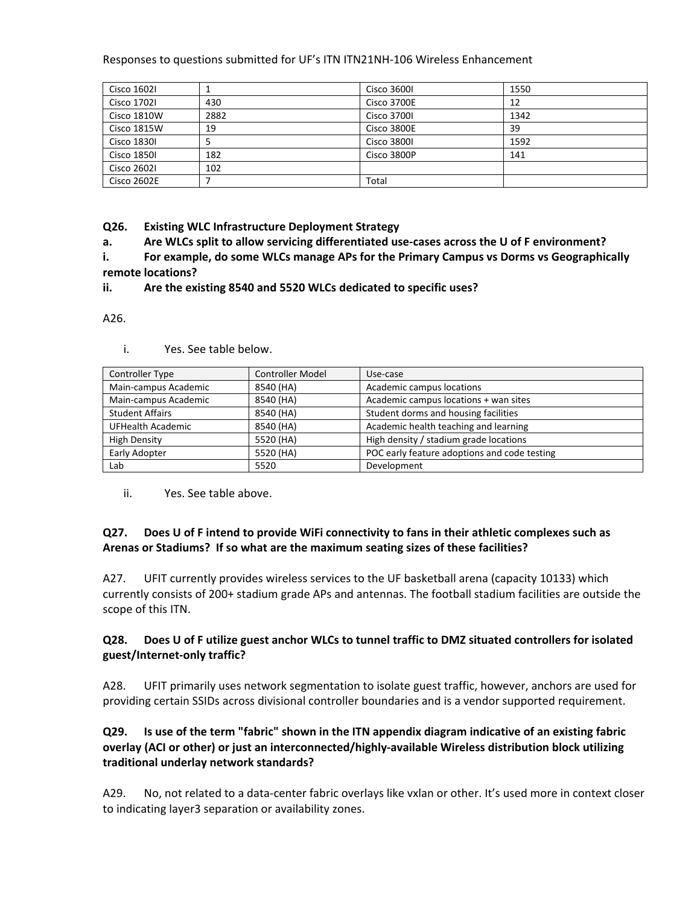| Cisco 1602I        |      | <b>Cisco 3600I</b> | 1550 |
|--------------------|------|--------------------|------|
| <b>Cisco 1702I</b> | 430  | Cisco 3700E        | 12   |
| Cisco 1810W        | 2882 | <b>Cisco 3700I</b> | 1342 |
| Cisco 1815W        | 19   | Cisco 3800E        | 39   |
| <b>Cisco 1830I</b> | ל    | <b>Cisco 3800I</b> | 1592 |
| <b>Cisco 1850I</b> | 182  | Cisco 3800P        | 141  |
| <b>Cisco 26021</b> | 102  |                    |      |
| Cisco 2602E        |      | Total              |      |

**Q26. Existing WLC Infrastructure Deployment Strategy**

**a. Are WLCs split to allow servicing differentiated use‐cases across the U of F environment?**

**i. For example, do some WLCs manage APs for the Primary Campus vs Dorms vs Geographically remote locations?**

**ii. Are the existing 8540 and 5520 WLCs dedicated to specific uses?**

A26.

- Controller Type Controller Model Use-case Main-campus Academic 18540 (HA) | Academic campus locations Main-campus Academic 18540 (HA) Academic campus locations + wan sites Student Affairs **8540 (HA)** Student dorms and housing facilities UFHealth Academic **8540** (HA) Academic health teaching and learning High Density **Fight Density** 5520 (HA) High density / stadium grade locations Early Adopter **Figure 2008** | 5520 (HA) **POC early feature adoptions and code testing** Lab and 15520 Development
- i. Yes. See table below.

ii. Yes. See table above.

# **Q27. Does U of F intend to provide WiFi connectivity to fans in their athletic complexes such as Arenas or Stadiums? If so what are the maximum seating sizes of these facilities?**

A27. UFIT currently provides wireless services to the UF basketball arena (capacity 10133) which currently consists of 200+ stadium grade APs and antennas. The football stadium facilities are outside the scope of this ITN.

# Q28. Does U of F utilize guest anchor WLCs to tunnel traffic to DMZ situated controllers for isolated **guest/Internet‐only traffic?**

A28. UFIT primarily uses network segmentation to isolate guest traffic, however, anchors are used for providing certain SSIDs across divisional controller boundaries and is a vendor supported requirement.

# Q29. Is use of the term "fabric" shown in the ITN appendix diagram indicative of an existing fabric **overlay (ACI or other) or just an interconnected/highly‐available Wireless distribution block utilizing traditional underlay network standards?**

A29. No, not related to a data‐center fabric overlays like vxlan or other. It's used more in context closer to indicating layer3 separation or availability zones.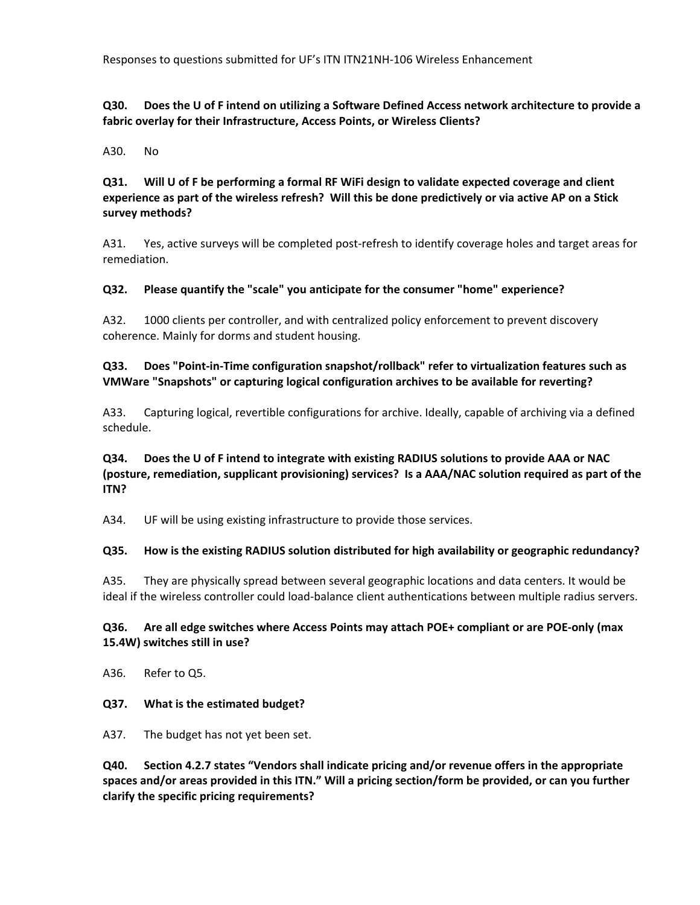### Q30. Does the U of F intend on utilizing a Software Defined Access network architecture to provide a **fabric overlay for their Infrastructure, Access Points, or Wireless Clients?**

A30. No

**Q31. Will U of F be performing a formal RF WiFi design to validate expected coverage and client** experience as part of the wireless refresh? Will this be done predictively or via active AP on a Stick **survey methods?**

A31. Yes, active surveys will be completed post-refresh to identify coverage holes and target areas for remediation.

#### **Q32. Please quantify the "scale" you anticipate for the consumer "home" experience?**

A32. 1000 clients per controller, and with centralized policy enforcement to prevent discovery coherence. Mainly for dorms and student housing.

**Q33. Does "Point‐in‐Time configuration snapshot/rollback" refer to virtualization features such as VMWare "Snapshots" or capturing logical configuration archives to be available for reverting?**

A33. Capturing logical, revertible configurations for archive. Ideally, capable of archiving via a defined schedule.

**Q34. Does the U of F intend to integrate with existing RADIUS solutions to provide AAA or NAC (posture, remediation, supplicant provisioning) services? Is a AAA/NAC solution required as part of the ITN?**

A34. UF will be using existing infrastructure to provide those services.

#### **Q35. How is the existing RADIUS solution distributed for high availability or geographic redundancy?**

A35. They are physically spread between several geographic locations and data centers. It would be ideal if the wireless controller could load‐balance client authentications between multiple radius servers.

#### **Q36. Are all edge switches where Access Points may attach POE+ compliant or are POE‐only (max 15.4W) switches still in use?**

A36. Refer to Q5.

#### **Q37. What is the estimated budget?**

A37. The budget has not yet been set.

**Q40. Section 4.2.7 states "Vendors shall indicate pricing and/or revenue offers in the appropriate spaces and/or areas provided in this ITN." Will a pricing section/form be provided, or can you further clarify the specific pricing requirements?**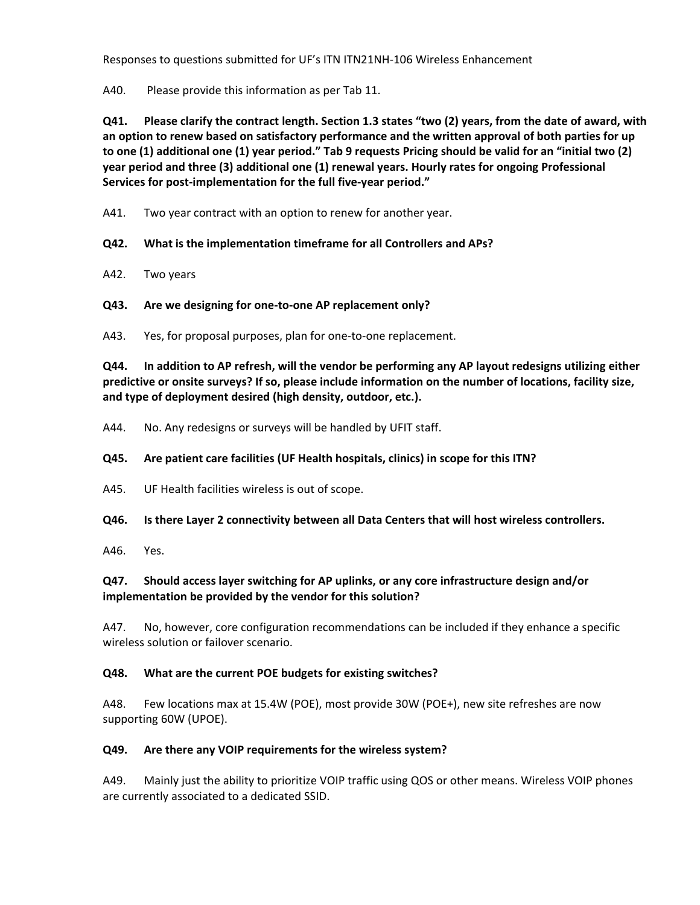A40. Please provide this information as per Tab 11.

Q41. Please clarify the contract length. Section 1.3 states "two (2) years, from the date of award, with **an option to renew based on satisfactory performance and the written approval of both parties for up** to one (1) additional one (1) year period." Tab 9 requests Pricing should be valid for an "initial two (2) **year period and three (3) additional one (1) renewal years. Hourly rates for ongoing Professional Services for post‐implementation for the full five‐year period."** 

A41. Two year contract with an option to renew for another year.

**Q42. What is the implementation timeframe for all Controllers and APs?** 

- A42. Two years
- **Q43. Are we designing for one‐to‐one AP replacement only?**

A43. Yes, for proposal purposes, plan for one-to-one replacement.

**Q44. In addition to AP refresh, will the vendor be performing any AP layout redesigns utilizing either predictive or onsite surveys? If so, please include information on the number of locations, facility size, and type of deployment desired (high density, outdoor, etc.).** 

A44. No. Any redesigns or surveys will be handled by UFIT staff.

## **Q45. Are patient care facilities (UF Health hospitals, clinics) in scope for this ITN?**

A45. UF Health facilities wireless is out of scope.

#### **Q46. Is there Layer 2 connectivity between all Data Centers that will host wireless controllers.**

A46. Yes.

# **Q47. Should access layer switching for AP uplinks, or any core infrastructure design and/or implementation be provided by the vendor for this solution?**

A47. No, however, core configuration recommendations can be included if they enhance a specific wireless solution or failover scenario.

# **Q48. What are the current POE budgets for existing switches?**

A48. Few locations max at 15.4W (POE), most provide 30W (POE+), new site refreshes are now supporting 60W (UPOE).

#### **Q49. Are there any VOIP requirements for the wireless system?**

A49. Mainly just the ability to prioritize VOIP traffic using QOS or other means. Wireless VOIP phones are currently associated to a dedicated SSID.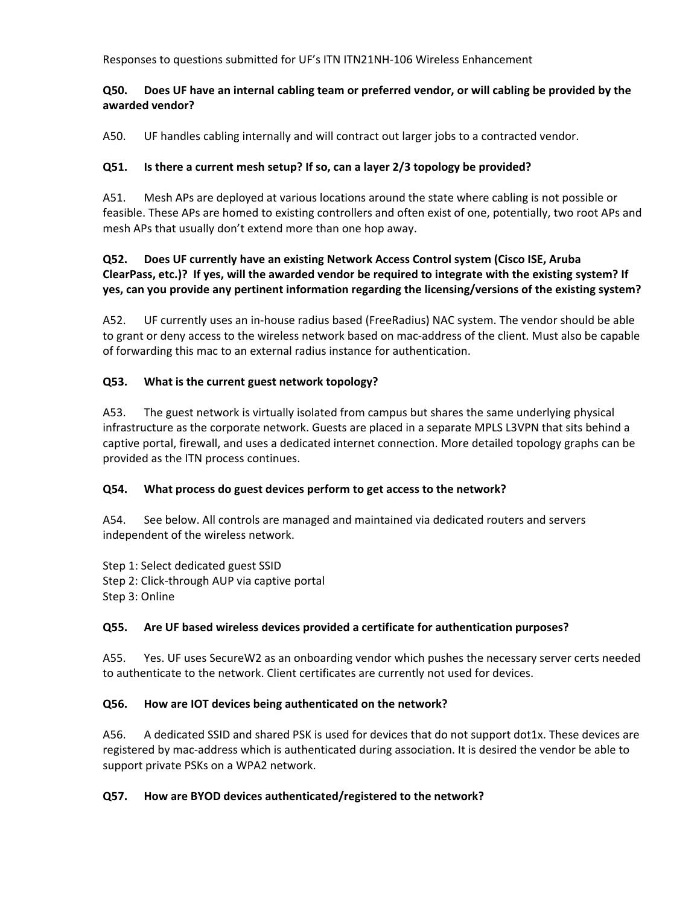# **Q50. Does UF have an internal cabling team or preferred vendor, or will cabling be provided by the awarded vendor?**

A50. UF handles cabling internally and will contract out larger jobs to a contracted vendor.

# **Q51. Is there a current mesh setup? If so, can a layer 2/3 topology be provided?**

A51. Mesh APs are deployed at various locations around the state where cabling is not possible or feasible. These APs are homed to existing controllers and often exist of one, potentially, two root APs and mesh APs that usually don't extend more than one hop away.

# **Q52. Does UF currently have an existing Network Access Control system (Cisco ISE, Aruba** ClearPass, etc.)? If yes, will the awarded vendor be required to integrate with the existing system? If **yes, can you provide any pertinent information regarding the licensing/versions of the existing system?**

A52. UF currently uses an in-house radius based (FreeRadius) NAC system. The vendor should be able to grant or deny access to the wireless network based on mac‐address of the client. Must also be capable of forwarding this mac to an external radius instance for authentication.

# **Q53. What is the current guest network topology?**

A53. The guest network is virtually isolated from campus but shares the same underlying physical infrastructure as the corporate network. Guests are placed in a separate MPLS L3VPN that sits behind a captive portal, firewall, and uses a dedicated internet connection. More detailed topology graphs can be provided as the ITN process continues.

# **Q54. What process do guest devices perform to get access to the network?**

A54. See below. All controls are managed and maintained via dedicated routers and servers independent of the wireless network.

Step 1: Select dedicated guest SSID Step 2: Click‐through AUP via captive portal Step 3: Online

# **Q55. Are UF based wireless devices provided a certificate for authentication purposes?**

A55. Yes. UF uses SecureW2 as an onboarding vendor which pushes the necessary server certs needed to authenticate to the network. Client certificates are currently not used for devices.

# **Q56. How are IOT devices being authenticated on the network?**

A56. A dedicated SSID and shared PSK is used for devices that do not support dot1x. These devices are registered by mac‐address which is authenticated during association. It is desired the vendor be able to support private PSKs on a WPA2 network.

# **Q57. How are BYOD devices authenticated/registered to the network?**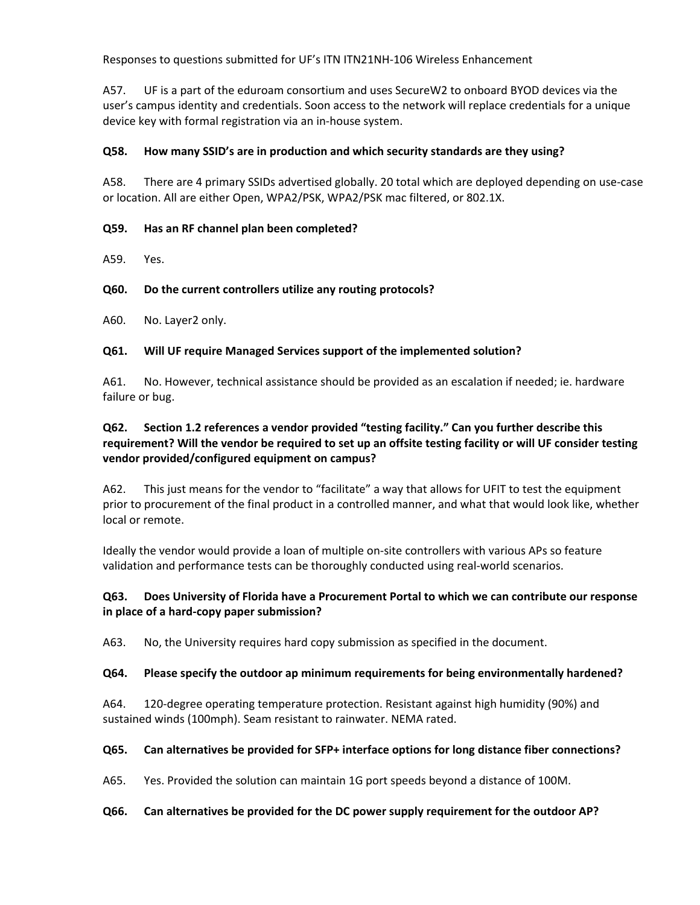A57. UF is a part of the eduroam consortium and uses SecureW2 to onboard BYOD devices via the user's campus identity and credentials. Soon access to the network will replace credentials for a unique device key with formal registration via an in‐house system.

### **Q58. How many SSID's are in production and which security standards are they using?**

A58. There are 4 primary SSIDs advertised globally. 20 total which are deployed depending on use‐case or location. All are either Open, WPA2/PSK, WPA2/PSK mac filtered, or 802.1X.

### **Q59. Has an RF channel plan been completed?**

A59. Yes.

### **Q60. Do the current controllers utilize any routing protocols?**

A60. No. Layer2 only.

### **Q61. Will UF require Managed Services support of the implemented solution?**

A61. No. However, technical assistance should be provided as an escalation if needed; ie. hardware failure or bug.

# **Q62. Section 1.2 references a vendor provided "testing facility." Can you further describe this** requirement? Will the vendor be required to set up an offsite testing facility or will UF consider testing **vendor provided/configured equipment on campus?**

A62. This just means for the vendor to "facilitate" a way that allows for UFIT to test the equipment prior to procurement of the final product in a controlled manner, and what that would look like, whether local or remote.

Ideally the vendor would provide a loan of multiple on‐site controllers with various APs so feature validation and performance tests can be thoroughly conducted using real‐world scenarios.

### **Q63. Does University of Florida have a Procurement Portal to which we can contribute our response in place of a hard‐copy paper submission?**

A63. No, the University requires hard copy submission as specified in the document.

#### **Q64. Please specify the outdoor ap minimum requirements for being environmentally hardened?**

A64. 120-degree operating temperature protection. Resistant against high humidity (90%) and sustained winds (100mph). Seam resistant to rainwater. NEMA rated.

#### **Q65. Can alternatives be provided for SFP+ interface options for long distance fiber connections?**

A65. Yes. Provided the solution can maintain 1G port speeds beyond a distance of 100M.

#### **Q66. Can alternatives be provided for the DC power supply requirement for the outdoor AP?**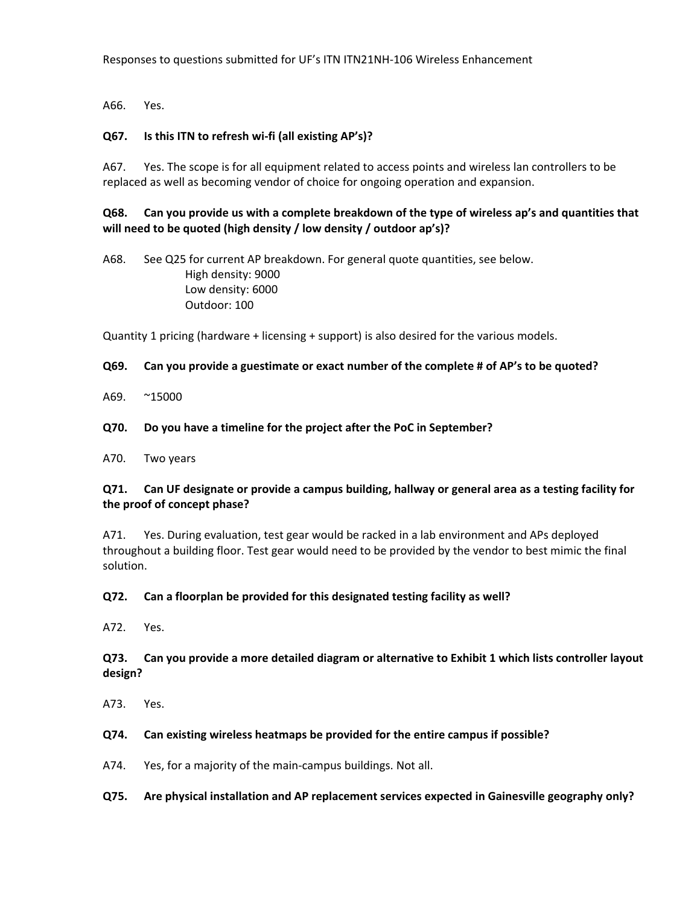A66. Yes.

#### **Q67. Is this ITN to refresh wi‐fi (all existing AP's)?**

A67. Yes. The scope is for all equipment related to access points and wireless lan controllers to be replaced as well as becoming vendor of choice for ongoing operation and expansion.

**Q68. Can you provide us with a complete breakdown of the type of wireless ap's and quantities that will need to be quoted (high density / low density / outdoor ap's)?**

A68. See Q25 for current AP breakdown. For general quote quantities, see below. High density: 9000 Low density: 6000 Outdoor: 100

Quantity 1 pricing (hardware + licensing + support) is also desired for the various models.

#### **Q69. Can you provide a guestimate or exact number of the complete # of AP's to be quoted?**

- A69. ~15000
- **Q70. Do you have a timeline for the project after the PoC in September?**
- A70. Two years

### Q71. Can UF designate or provide a campus building, hallway or general area as a testing facility for **the proof of concept phase?**

A71. Yes. During evaluation, test gear would be racked in a lab environment and APs deployed throughout a building floor. Test gear would need to be provided by the vendor to best mimic the final solution.

#### **Q72. Can a floorplan be provided for this designated testing facility as well?**

A72. Yes.

### **Q73. Can you provide a more detailed diagram or alternative to Exhibit 1 which lists controller layout design?**

A73. Yes.

#### **Q74. Can existing wireless heatmaps be provided for the entire campus if possible?**

A74. Yes, for a majority of the main‐campus buildings. Not all.

#### **Q75. Are physical installation and AP replacement services expected in Gainesville geography only?**